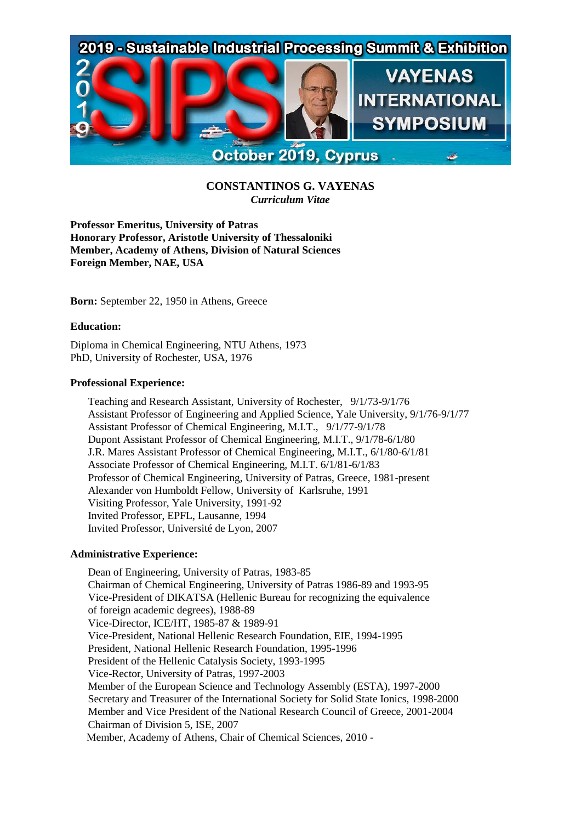

# **CONSTANTINOS G. VAYENAS** *Curriculum Vitae*

**Professor Emeritus, University of Patras Honorary Professor, Aristotle University of Thessaloniki Member, Academy of Athens, Division of Natural Sciences Foreign Member, NAE, USA**

**Born:** September 22, 1950 in Athens, Greece

# **Education:**

Diploma in Chemical Engineering, NTU Athens, 1973 PhD, University of Rochester, USA, 1976

#### **Professional Experience:**

Teaching and Research Assistant, University of Rochester, 9/1/73-9/1/76 Assistant Professor of Engineering and Applied Science, Yale University, 9/1/76-9/1/77 Assistant Professor of Chemical Engineering, M.I.T., 9/1/77-9/1/78 Dupont Assistant Professor of Chemical Engineering, M.I.T., 9/1/78-6/1/80 J.R. Mares Assistant Professor of Chemical Engineering, M.I.T., 6/1/80-6/1/81 Associate Professor of Chemical Engineering, M.I.T. 6/1/81-6/1/83 Professor of Chemical Engineering, University of Patras, Greece, 1981-present Alexander von Humboldt Fellow, University of Karlsruhe, 1991 Visiting Professor, Yale University, 1991-92 Invited Professor, EPFL, Lausanne, 1994 Invited Professor, Université de Lyon, 2007

# **Administrative Experience:**

Dean of Engineering, University of Patras, 1983-85 Chairman of Chemical Engineering, University of Patras 1986-89 and 1993-95 Vice-President of DIKATSA (Hellenic Bureau for recognizing the equivalence of foreign academic degrees), 1988-89 Vice-Director, ICE/HT, 1985-87 & 1989-91 Vice-President, National Hellenic Research Foundation, EIE, 1994-1995 President, National Hellenic Research Foundation, 1995-1996 President of the Hellenic Catalysis Society, 1993-1995 Vice-Rector, University of Patras, 1997-2003 Member of the European Science and Technology Assembly (ESTA), 1997-2000 Secretary and Treasurer of the International Society for Solid State Ionics, 1998-2000 Member and Vice President of the National Research Council of Greece, 2001-2004 Chairman of Division 5, ISE, 2007 Μember, Academy of Athens, Chair of Chemical Sciences, 2010 -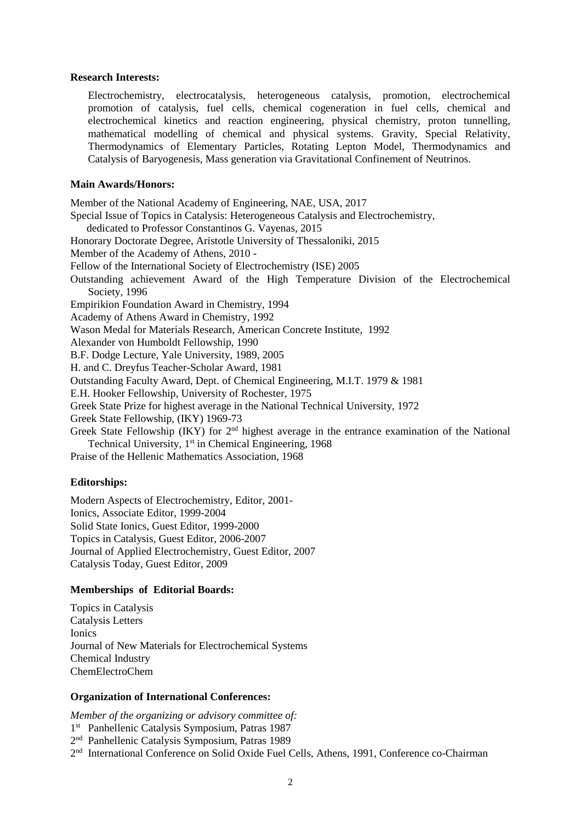#### **Research Interests:**

Electrochemistry, electrocatalysis, heterogeneous catalysis, promotion, electrochemical promotion of catalysis, fuel cells, chemical cogeneration in fuel cells, chemical and electrochemical kinetics and reaction engineering, physical chemistry, proton tunnelling, mathematical modelling of chemical and physical systems. Gravity, Special Relativity, Thermodynamics of Elementary Particles, Rotating Lepton Model, Thermodynamics and Catalysis of Baryogenesis, Mass generation via Gravitational Confinement of Neutrinos.

### **Main Awards/Honors:**

Member of the National Academy of Engineering, NAE, USA, 2017 Special Issue of Topics in Catalysis: Heterogeneous Catalysis and Electrochemistry, dedicated to Professor Constantinos G. Vayenas, 2015 Honorary Doctorate Degree, Aristotle University of Thessaloniki, 2015 Member of the Academy of Athens, 2010 - Fellow of the International Society of Electrochemistry (ISE) 2005 Outstanding achievement Award of the High Temperature Division of the Electrochemical Society, 1996 Empirikion Foundation Award in Chemistry, 1994 Academy of Athens Award in Chemistry, 1992 Wason Medal for Materials Research, American Concrete Institute, 1992 Alexander von Humboldt Fellowship, 1990 B.F. Dodge Lecture, Yale University, 1989, 2005 H. and C. Dreyfus Teacher-Scholar Award, 1981 Outstanding Faculty Award, Dept. of Chemical Engineering, M.I.T. 1979 & 1981 E.H. Hooker Fellowship, University of Rochester, 1975 Greek State Prize for highest average in the National Technical University, 1972 Greek State Fellowship, (IKY) 1969-73 Greek State Fellowship (IKY) for 2<sup>nd</sup> highest average in the entrance examination of the National Technical University, 1<sup>st</sup> in Chemical Engineering, 1968 Praise of the Hellenic Mathematics Association, 1968

# **Editorships:**

Modern Aspects of Electrochemistry, Editor, 2001- Ionics, Associate Editor, 1999-2004 Solid State Ionics, Guest Editor, 1999-2000 Topics in Catalysis, Guest Editor, 2006-2007 Journal of Applied Electrochemistry, Guest Editor, 2007 Catalysis Today, Guest Editor, 2009

# **Memberships of Editorial Boards:**

Topics in Catalysis Catalysis Letters Ionics Journal of New Materials for Electrochemical Systems Chemical Industry ChemElectroChem

# **Organization of International Conferences:**

*Member of the organizing or advisory committee of:*

1 st Panhellenic Catalysis Symposium, Patras 1987

2 nd Panhellenic Catalysis Symposium, Patras 1989

2<sup>nd</sup> International Conference on Solid Oxide Fuel Cells, Athens, 1991, Conference co-Chairman